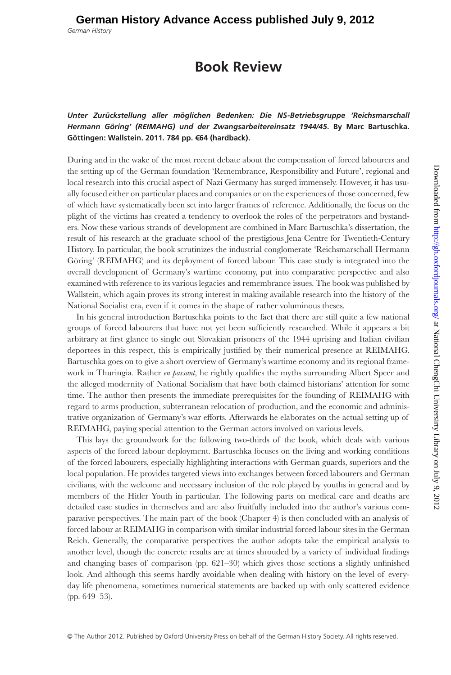## **Book Review**

## *Unter Zurückstellung aller möglichen Bedenken: Die NS-Betriebsgruppe 'Reichsmarschall Hermann Göring' (REIMAHG) und der Zwangsarbeitereinsatz 1944/45***. By Marc Bartuschka. Göttingen: Wallstein. 2011. 784 pp. €64 (hardback).**

During and in the wake of the most recent debate about the compensation of forced labourers and the setting up of the German foundation 'Remembrance, Responsibility and Future', regional and local research into this crucial aspect of Nazi Germany has surged immensely. However, it has usually focused either on particular places and companies or on the experiences of those concerned, few of which have systematically been set into larger frames of reference. Additionally, the focus on the plight of the victims has created a tendency to overlook the roles of the perpetrators and bystanders. Now these various strands of development are combined in Marc Bartuschka's dissertation, the result of his research at the graduate school of the prestigious Jena Centre for Twentieth-Century History. In particular, the book scrutinizes the industrial conglomerate 'Reichsmarschall Hermann Göring' (REIMAHG) and its deployment of forced labour. This case study is integrated into the overall development of Germany's wartime economy, put into comparative perspective and also examined with reference to its various legacies and remembrance issues. The book was published by Wallstein, which again proves its strong interest in making available research into the history of the National Socialist era, even if it comes in the shape of rather voluminous theses.

In his general introduction Bartuschka points to the fact that there are still quite a few national groups of forced labourers that have not yet been sufficiently researched. While it appears a bit arbitrary at first glance to single out Slovakian prisoners of the 1944 uprising and Italian civilian deportees in this respect, this is empirically justified by their numerical presence at REIMAHG. Bartuschka goes on to give a short overview of Germany's wartime economy and its regional framework in Thuringia. Rather *en passant*, he rightly qualifies the myths surrounding Albert Speer and the alleged modernity of National Socialism that have both claimed historians' attention for some time. The author then presents the immediate prerequisites for the founding of REIMAHG with regard to arms production, subterranean relocation of production, and the economic and administrative organization of Germany's war efforts. Afterwards he elaborates on the actual setting up of REIMAHG, paying special attention to the German actors involved on various levels.

This lays the groundwork for the following two-thirds of the book, which deals with various aspects of the forced labour deployment. Bartuschka focuses on the living and working conditions of the forced labourers, especially highlighting interactions with German guards, superiors and the local population. He provides targeted views into exchanges between forced labourers and German civilians, with the welcome and necessary inclusion of the role played by youths in general and by members of the Hitler Youth in particular. The following parts on medical care and deaths are detailed case studies in themselves and are also fruitfully included into the author's various comparative perspectives. The main part of the book (Chapter 4) is then concluded with an analysis of forced labour at REIMAHG in comparison with similar industrial forced labour sites in the German Reich. Generally, the comparative perspectives the author adopts take the empirical analysis to another level, though the concrete results are at times shrouded by a variety of individual findings and changing bases of comparison (pp. 621–30) which gives those sections a slightly unfinished look. And although this seems hardly avoidable when dealing with history on the level of everyday life phenomena, sometimes numerical statements are backed up with only scattered evidence (pp. 649–53).